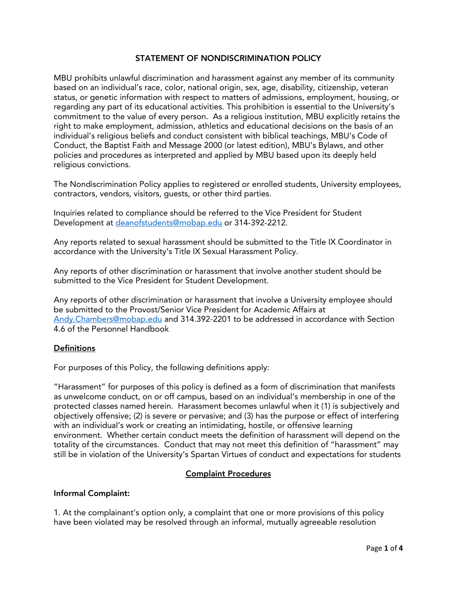# STATEMENT OF NONDISCRIMINATION POLICY

MBU prohibits unlawful discrimination and harassment against any member of its community based on an individual's race, color, national origin, sex, age, disability, citizenship, veteran status, or genetic information with respect to matters of admissions, employment, housing, or regarding any part of its educational activities. This prohibition is essential to the University's commitment to the value of every person. As a religious institution, MBU explicitly retains the right to make employment, admission, athletics and educational decisions on the basis of an individual's religious beliefs and conduct consistent with biblical teachings, MBU's Code of Conduct, the Baptist Faith and Message 2000 (or latest edition), MBU's Bylaws, and other policies and procedures as interpreted and applied by MBU based upon its deeply held religious convictions.

The Nondiscrimination Policy applies to registered or enrolled students, University employees, contractors, vendors, visitors, guests, or other third parties.

Inquiries related to compliance should be referred to the Vice President for Student Development at [deanofstudents@mobap.edu](mailto:deanofstudents@mobap.edu) or 314-392-2212.

Any reports related to sexual harassment should be submitted to the Title IX Coordinator in accordance with the University's Title IX Sexual Harassment Policy.

Any reports of other discrimination or harassment that involve another student should be submitted to the Vice President for Student Development.

Any reports of other discrimination or harassment that involve a University employee should be submitted to the Provost/Senior Vice President for Academic Affairs at [Andy.Chambers@mobap.edu](mailto:Andy.Chambers@mobap.edu) and 314.392-2201 to be addressed in accordance with Section 4.6 of the Personnel Handbook

## **Definitions**

For purposes of this Policy, the following definitions apply:

"Harassment" for purposes of this policy is defined as a form of discrimination that manifests as unwelcome conduct, on or off campus, based on an individual's membership in one of the protected classes named herein. Harassment becomes unlawful when it (1) is subjectively and objectively offensive; (2) is severe or pervasive; and (3) has the purpose or effect of interfering with an individual's work or creating an intimidating, hostile, or offensive learning environment. Whether certain conduct meets the definition of harassment will depend on the totality of the circumstances. Conduct that may not meet this definition of "harassment" may still be in violation of the University's Spartan Virtues of conduct and expectations for students

## Complaint Procedures

#### Informal Complaint:

1. At the complainant's option only, a complaint that one or more provisions of this policy have been violated may be resolved through an informal, mutually agreeable resolution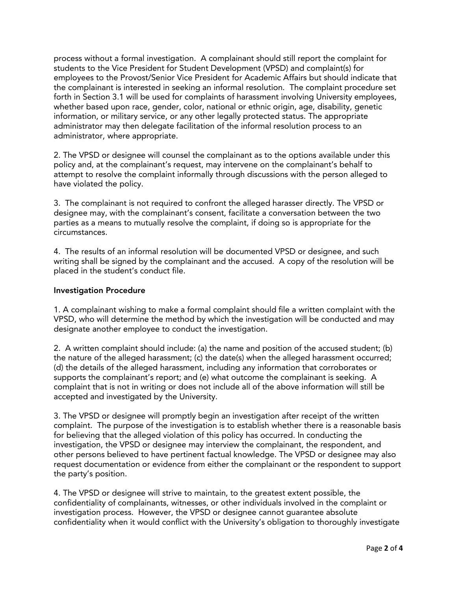process without a formal investigation. A complainant should still report the complaint for students to the Vice President for Student Development (VPSD) and complaint(s) for employees to the Provost/Senior Vice President for Academic Affairs but should indicate that the complainant is interested in seeking an informal resolution. The complaint procedure set forth in Section 3.1 will be used for complaints of harassment involving University employees, whether based upon race, gender, color, national or ethnic origin, age, disability, genetic information, or military service, or any other legally protected status. The appropriate administrator may then delegate facilitation of the informal resolution process to an administrator, where appropriate.

2. The VPSD or designee will counsel the complainant as to the options available under this policy and, at the complainant's request, may intervene on the complainant's behalf to attempt to resolve the complaint informally through discussions with the person alleged to have violated the policy.

3. The complainant is not required to confront the alleged harasser directly. The VPSD or designee may, with the complainant's consent, facilitate a conversation between the two parties as a means to mutually resolve the complaint, if doing so is appropriate for the circumstances.

4. The results of an informal resolution will be documented VPSD or designee, and such writing shall be signed by the complainant and the accused. A copy of the resolution will be placed in the student's conduct file.

## Investigation Procedure

1. A complainant wishing to make a formal complaint should file a written complaint with the VPSD, who will determine the method by which the investigation will be conducted and may designate another employee to conduct the investigation.

2. A written complaint should include: (a) the name and position of the accused student; (b) the nature of the alleged harassment; (c) the date(s) when the alleged harassment occurred; (d) the details of the alleged harassment, including any information that corroborates or supports the complainant's report; and (e) what outcome the complainant is seeking. A complaint that is not in writing or does not include all of the above information will still be accepted and investigated by the University.

3. The VPSD or designee will promptly begin an investigation after receipt of the written complaint. The purpose of the investigation is to establish whether there is a reasonable basis for believing that the alleged violation of this policy has occurred. In conducting the investigation, the VPSD or designee may interview the complainant, the respondent, and other persons believed to have pertinent factual knowledge. The VPSD or designee may also request documentation or evidence from either the complainant or the respondent to support the party's position.

4. The VPSD or designee will strive to maintain, to the greatest extent possible, the confidentiality of complainants, witnesses, or other individuals involved in the complaint or investigation process. However, the VPSD or designee cannot guarantee absolute confidentiality when it would conflict with the University's obligation to thoroughly investigate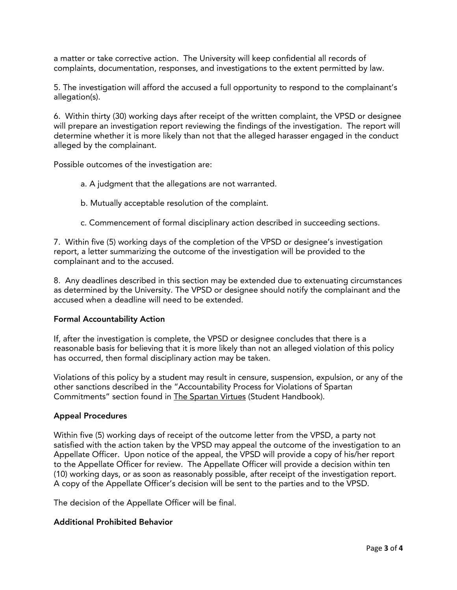a matter or take corrective action. The University will keep confidential all records of complaints, documentation, responses, and investigations to the extent permitted by law.

5. The investigation will afford the accused a full opportunity to respond to the complainant's allegation(s).

6. Within thirty (30) working days after receipt of the written complaint, the VPSD or designee will prepare an investigation report reviewing the findings of the investigation. The report will determine whether it is more likely than not that the alleged harasser engaged in the conduct alleged by the complainant.

Possible outcomes of the investigation are:

- a. A judgment that the allegations are not warranted.
- b. Mutually acceptable resolution of the complaint.
- c. Commencement of formal disciplinary action described in succeeding sections.

7. Within five (5) working days of the completion of the VPSD or designee's investigation report, a letter summarizing the outcome of the investigation will be provided to the complainant and to the accused.

8. Any deadlines described in this section may be extended due to extenuating circumstances as determined by the University. The VPSD or designee should notify the complainant and the accused when a deadline will need to be extended.

#### Formal Accountability Action

If, after the investigation is complete, the VPSD or designee concludes that there is a reasonable basis for believing that it is more likely than not an alleged violation of this policy has occurred, then formal disciplinary action may be taken.

Violations of this policy by a student may result in censure, suspension, expulsion, or any of the other sanctions described in the "Accountability Process for Violations of Spartan Commitments" section found in The Spartan Virtues (Student Handbook).

#### Appeal Procedures

Within five (5) working days of receipt of the outcome letter from the VPSD, a party not satisfied with the action taken by the VPSD may appeal the outcome of the investigation to an Appellate Officer. Upon notice of the appeal, the VPSD will provide a copy of his/her report to the Appellate Officer for review. The Appellate Officer will provide a decision within ten (10) working days, or as soon as reasonably possible, after receipt of the investigation report. A copy of the Appellate Officer's decision will be sent to the parties and to the VPSD.

The decision of the Appellate Officer will be final.

#### Additional Prohibited Behavior